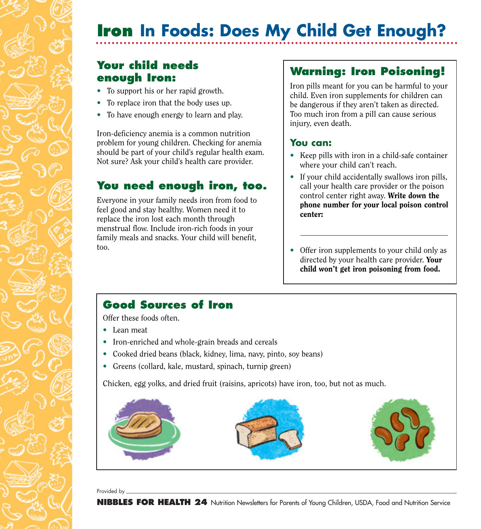# **Iron In Foods: Does My Child Get Enough?**

## **Your child needs enough Iron:**

- To support his or her rapid growth.
- To replace iron that the body uses up.
- To have enough energy to learn and play.

Iron-deficiency anemia is a common nutrition problem for young children. Checking for anemia should be part of your child's regular health exam. Not sure? Ask your child's health care provider.

## **You need enough iron, too.**

Everyone in your family needs iron from food to feel good and stay healthy. Women need it to replace the iron lost each month through menstrual flow. Include iron-rich foods in your family meals and snacks. Your child will benefit, too.

# **Warning: Iron Poisoning!**

Iron pills meant for you can be harmful to your child. Even iron supplements for children can be dangerous if they aren't taken as directed. Too much iron from a pill can cause serious injury, even death.

#### **You can:**

- Keep pills with iron in a child-safe container where your child can't reach.
- If your child accidentally swallows iron pills, call your health care provider or the poison control center right away. Write down the phone number for your local poison control center:
- Offer iron supplements to your child only as directed by your health care provider. Your child won't get iron poisoning from food.

# **Good Sources of Iron**

Offer these foods often.

- Lean meat
- Iron-enriched and whole-grain breads and cereals
- Cooked dried beans (black, kidney, lima, navy, pinto, soy beans)
- Greens (collard, kale, mustard, spinach, turnip green)

Chicken, egg yolks, and dried fruit (raisins, apricots) have iron, too, but not as much.



Provided by